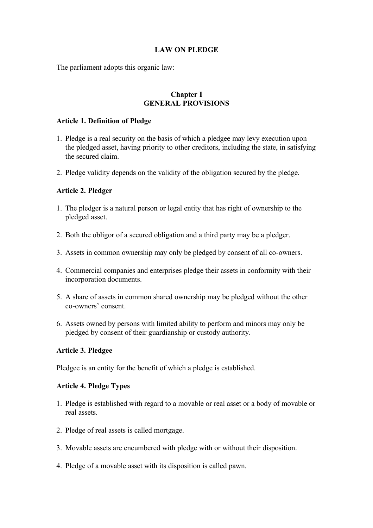# **LAW ON PLEDGE**

The parliament adopts this organic law:

# **Chapter I GENERAL PROVISIONS**

### **Article 1. Definition of Pledge**

- 1. Pledge is a real security on the basis of which a pledgee may levy execution upon the pledged asset, having priority to other creditors, including the state, in satisfying the secured claim.
- 2. Pledge validity depends on the validity of the obligation secured by the pledge.

# **Article 2. Pledger**

- 1. The pledger is a natural person or legal entity that has right of ownership to the pledged asset.
- 2. Both the obligor of a secured obligation and a third party may be a pledger.
- 3. Assets in common ownership may only be pledged by consent of all co-owners.
- 4. Commercial companies and enterprises pledge their assets in conformity with their incorporation documents.
- 5. A share of assets in common shared ownership may be pledged without the other co-owners' consent.
- 6. Assets owned by persons with limited ability to perform and minors may only be pledged by consent of their guardianship or custody authority.

# **Article 3. Pledgee**

Pledgee is an entity for the benefit of which a pledge is established.

### **Article 4. Pledge Types**

- 1. Pledge is established with regard to a movable or real asset or a body of movable or real assets.
- 2. Pledge of real assets is called mortgage.
- 3. Movable assets are encumbered with pledge with or without their disposition.
- 4. Pledge of a movable asset with its disposition is called pawn.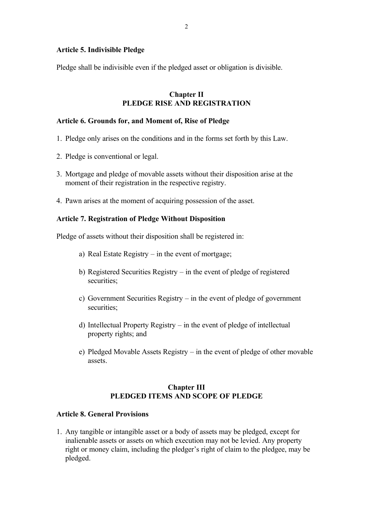### **Article 5. Indivisible Pledge**

Pledge shall be indivisible even if the pledged asset or obligation is divisible.

## **Chapter II PLEDGE RISE AND REGISTRATION**

### **Article 6. Grounds for, and Moment of, Rise of Pledge**

- 1. Pledge only arises on the conditions and in the forms set forth by this Law.
- 2. Pledge is conventional or legal.
- 3. Mortgage and pledge of movable assets without their disposition arise at the moment of their registration in the respective registry.
- 4. Pawn arises at the moment of acquiring possession of the asset.

#### **Article 7. Registration of Pledge Without Disposition**

Pledge of assets without their disposition shall be registered in:

- a) Real Estate Registry in the event of mortgage;
- b) Registered Securities Registry in the event of pledge of registered securities;
- c) Government Securities Registry in the event of pledge of government securities:
- d) Intellectual Property Registry in the event of pledge of intellectual property rights; and
- e) Pledged Movable Assets Registry in the event of pledge of other movable assets.

## **Chapter III PLEDGED ITEMS AND SCOPE OF PLEDGE**

#### **Article 8. General Provisions**

1. Any tangible or intangible asset or a body of assets may be pledged, except for inalienable assets or assets on which execution may not be levied. Any property right or money claim, including the pledger's right of claim to the pledgee, may be pledged.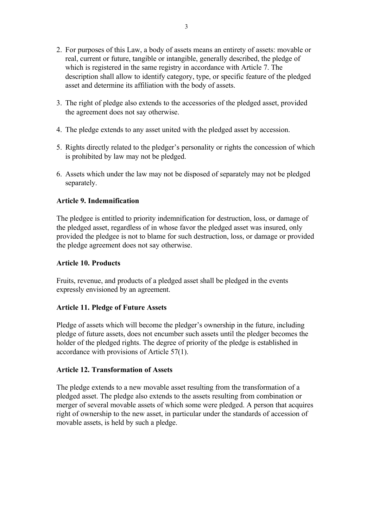- 2. For purposes of this Law, a body of assets means an entirety of assets: movable or real, current or future, tangible or intangible, generally described, the pledge of which is registered in the same registry in accordance with Article 7. The description shall allow to identify category, type, or specific feature of the pledged asset and determine its affiliation with the body of assets.
- 3. The right of pledge also extends to the accessories of the pledged asset, provided the agreement does not say otherwise.
- 4. The pledge extends to any asset united with the pledged asset by accession.
- 5. Rights directly related to the pledger's personality or rights the concession of which is prohibited by law may not be pledged.
- 6. Assets which under the law may not be disposed of separately may not be pledged separately.

## **Article 9. Indemnification**

The pledgee is entitled to priority indemnification for destruction, loss, or damage of the pledged asset, regardless of in whose favor the pledged asset was insured, only provided the pledgee is not to blame for such destruction, loss, or damage or provided the pledge agreement does not say otherwise.

### **Article 10. Products**

Fruits, revenue, and products of a pledged asset shall be pledged in the events expressly envisioned by an agreement.

# **Article 11. Pledge of Future Assets**

Pledge of assets which will become the pledger's ownership in the future, including pledge of future assets, does not encumber such assets until the pledger becomes the holder of the pledged rights. The degree of priority of the pledge is established in accordance with provisions of Article 57(1).

### **Article 12. Transformation of Assets**

The pledge extends to a new movable asset resulting from the transformation of a pledged asset. The pledge also extends to the assets resulting from combination or merger of several movable assets of which some were pledged. A person that acquires right of ownership to the new asset, in particular under the standards of accession of movable assets, is held by such a pledge.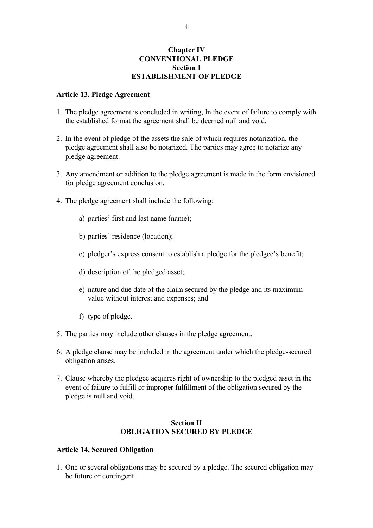## **Chapter IV CONVENTIONAL PLEDGE Section I ESTABLISHMENT OF PLEDGE**

#### **Article 13. Pledge Agreement**

- 1. The pledge agreement is concluded in writing, In the event of failure to comply with the established format the agreement shall be deemed null and void.
- 2. In the event of pledge of the assets the sale of which requires notarization, the pledge agreement shall also be notarized. The parties may agree to notarize any pledge agreement.
- 3. Any amendment or addition to the pledge agreement is made in the form envisioned for pledge agreement conclusion.
- 4. The pledge agreement shall include the following:
	- a) parties' first and last name (name);
	- b) parties' residence (location);
	- c) pledger's express consent to establish a pledge for the pledgee's benefit;
	- d) description of the pledged asset;
	- e) nature and due date of the claim secured by the pledge and its maximum value without interest and expenses; and
	- f) type of pledge.
- 5. The parties may include other clauses in the pledge agreement.
- 6. A pledge clause may be included in the agreement under which the pledge-secured obligation arises.
- 7. Clause whereby the pledgee acquires right of ownership to the pledged asset in the event of failure to fulfill or improper fulfillment of the obligation secured by the pledge is null and void.

### **Section II OBLIGATION SECURED BY PLEDGE**

## **Article 14. Secured Obligation**

1. One or several obligations may be secured by a pledge. The secured obligation may be future or contingent.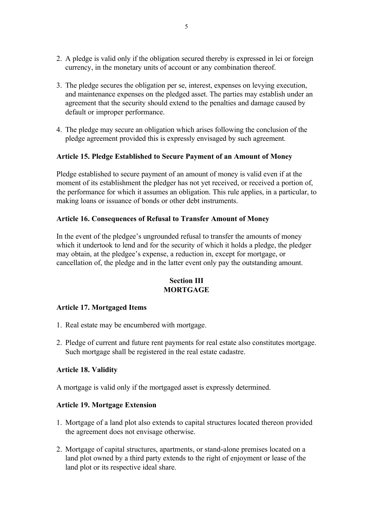- 2. A pledge is valid only if the obligation secured thereby is expressed in lei or foreign currency, in the monetary units of account or any combination thereof.
- 3. The pledge secures the obligation per se, interest, expenses on levying execution, and maintenance expenses on the pledged asset. The parties may establish under an agreement that the security should extend to the penalties and damage caused by default or improper performance.
- 4. The pledge may secure an obligation which arises following the conclusion of the pledge agreement provided this is expressly envisaged by such agreement.

## **Article 15. Pledge Established to Secure Payment of an Amount of Money**

Pledge established to secure payment of an amount of money is valid even if at the moment of its establishment the pledger has not yet received, or received a portion of, the performance for which it assumes an obligation. This rule applies, in a particular, to making loans or issuance of bonds or other debt instruments.

### **Article 16. Consequences of Refusal to Transfer Amount of Money**

In the event of the pledgee's ungrounded refusal to transfer the amounts of money which it undertook to lend and for the security of which it holds a pledge, the pledger may obtain, at the pledgee's expense, a reduction in, except for mortgage, or cancellation of, the pledge and in the latter event only pay the outstanding amount.

# **Section III MORTGAGE**

# **Article 17. Mortgaged Items**

- 1. Real estate may be encumbered with mortgage.
- 2. Pledge of current and future rent payments for real estate also constitutes mortgage. Such mortgage shall be registered in the real estate cadastre.

### **Article 18. Validity**

A mortgage is valid only if the mortgaged asset is expressly determined.

### **Article 19. Mortgage Extension**

- 1. Mortgage of a land plot also extends to capital structures located thereon provided the agreement does not envisage otherwise.
- 2. Mortgage of capital structures, apartments, or stand-alone premises located on a land plot owned by a third party extends to the right of enjoyment or lease of the land plot or its respective ideal share.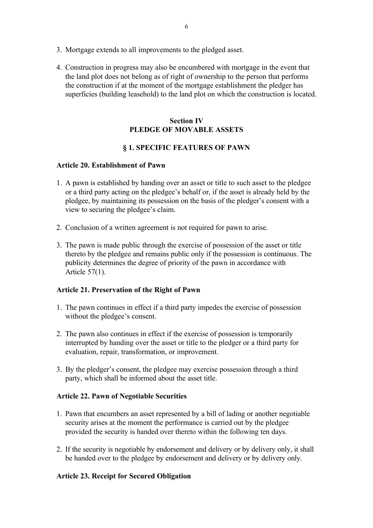- 3. Mortgage extends to all improvements to the pledged asset.
- 4. Construction in progress may also be encumbered with mortgage in the event that the land plot does not belong as of right of ownership to the person that performs the construction if at the moment of the mortgage establishment the pledger has superficies (building leasehold) to the land plot on which the construction is located.

# **Section IV PLEDGE OF MOVABLE ASSETS**

# **§ 1. SPECIFIC FEATURES OF PAWN**

## **Article 20. Establishment of Pawn**

- 1. A pawn is established by handing over an asset or title to such asset to the pledgee or a third party acting on the pledgee's behalf or, if the asset is already held by the pledgee, by maintaining its possession on the basis of the pledger's consent with a view to securing the pledgee's claim.
- 2. Conclusion of a written agreement is not required for pawn to arise.
- 3. The pawn is made public through the exercise of possession of the asset or title thereto by the pledgee and remains public only if the possession is continuous. The publicity determines the degree of priority of the pawn in accordance with Article 57(1).

# **Article 21. Preservation of the Right of Pawn**

- 1. The pawn continues in effect if a third party impedes the exercise of possession without the pledgee's consent.
- 2. The pawn also continues in effect if the exercise of possession is temporarily interrupted by handing over the asset or title to the pledger or a third party for evaluation, repair, transformation, or improvement.
- 3. By the pledger's consent, the pledgee may exercise possession through a third party, which shall be informed about the asset title.

# **Article 22. Pawn of Negotiable Securities**

- 1. Pawn that encumbers an asset represented by a bill of lading or another negotiable security arises at the moment the performance is carried out by the pledgee provided the security is handed over thereto within the following ten days.
- 2. If the security is negotiable by endorsement and delivery or by delivery only, it shall be handed over to the pledgee by endorsement and delivery or by delivery only.

# **Article 23. Receipt for Secured Obligation**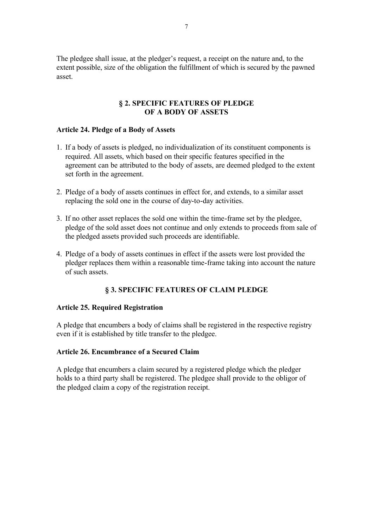The pledgee shall issue, at the pledger's request, a receipt on the nature and, to the extent possible, size of the obligation the fulfillment of which is secured by the pawned asset.

### **§ 2. SPECIFIC FEATURES OF PLEDGE OF A BODY OF ASSETS**

#### **Article 24. Pledge of a Body of Assets**

- 1. If a body of assets is pledged, no individualization of its constituent components is required. All assets, which based on their specific features specified in the agreement can be attributed to the body of assets, are deemed pledged to the extent set forth in the agreement.
- 2. Pledge of a body of assets continues in effect for, and extends, to a similar asset replacing the sold one in the course of day-to-day activities.
- 3. If no other asset replaces the sold one within the time-frame set by the pledgee, pledge of the sold asset does not continue and only extends to proceeds from sale of the pledged assets provided such proceeds are identifiable.
- 4. Pledge of a body of assets continues in effect if the assets were lost provided the pledger replaces them within a reasonable time-frame taking into account the nature of such assets.

# **§ 3. SPECIFIC FEATURES OF CLAIM PLEDGE**

### **Article 25. Required Registration**

A pledge that encumbers a body of claims shall be registered in the respective registry even if it is established by title transfer to the pledgee.

### **Article 26. Encumbrance of a Secured Claim**

A pledge that encumbers a claim secured by a registered pledge which the pledger holds to a third party shall be registered. The pledgee shall provide to the obligor of the pledged claim a copy of the registration receipt.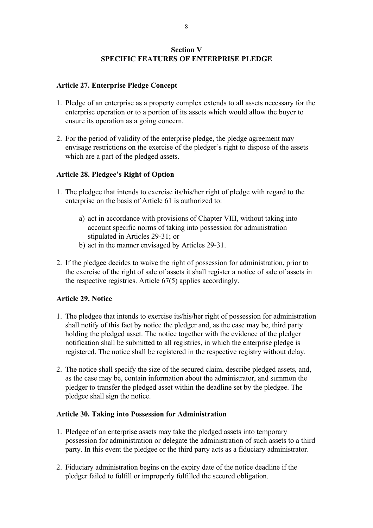# **Section V SPECIFIC FEATURES OF ENTERPRISE PLEDGE**

## **Article 27. Enterprise Pledge Concept**

- 1. Pledge of an enterprise as a property complex extends to all assets necessary for the enterprise operation or to a portion of its assets which would allow the buyer to ensure its operation as a going concern.
- 2. For the period of validity of the enterprise pledge, the pledge agreement may envisage restrictions on the exercise of the pledger's right to dispose of the assets which are a part of the pledged assets.

## **Article 28. Pledgee's Right of Option**

- 1. The pledgee that intends to exercise its/his/her right of pledge with regard to the enterprise on the basis of Article 61 is authorized to:
	- a) act in accordance with provisions of Chapter VIII, without taking into account specific norms of taking into possession for administration stipulated in Articles 29-31; or
	- b) act in the manner envisaged by Articles 29-31.
- 2. If the pledgee decides to waive the right of possession for administration, prior to the exercise of the right of sale of assets it shall register a notice of sale of assets in the respective registries. Article 67(5) applies accordingly.

# **Article 29. Notice**

- 1. The pledgee that intends to exercise its/his/her right of possession for administration shall notify of this fact by notice the pledger and, as the case may be, third party holding the pledged asset. The notice together with the evidence of the pledger notification shall be submitted to all registries, in which the enterprise pledge is registered. The notice shall be registered in the respective registry without delay.
- 2. The notice shall specify the size of the secured claim, describe pledged assets, and, as the case may be, contain information about the administrator, and summon the pledger to transfer the pledged asset within the deadline set by the pledgee. The pledgee shall sign the notice.

### **Article 30. Taking into Possession for Administration**

- 1. Pledgee of an enterprise assets may take the pledged assets into temporary possession for administration or delegate the administration of such assets to a third party. In this event the pledgee or the third party acts as a fiduciary administrator.
- 2. Fiduciary administration begins on the expiry date of the notice deadline if the pledger failed to fulfill or improperly fulfilled the secured obligation.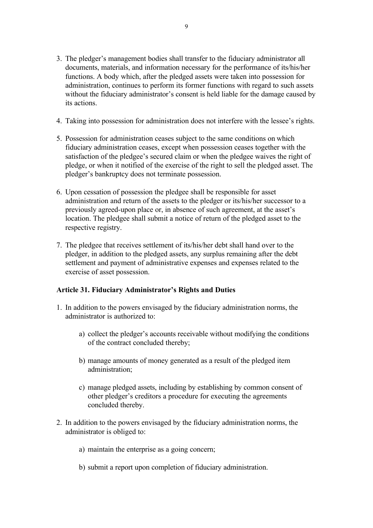- 3. The pledger's management bodies shall transfer to the fiduciary administrator all documents, materials, and information necessary for the performance of its/his/her functions. A body which, after the pledged assets were taken into possession for administration, continues to perform its former functions with regard to such assets without the fiduciary administrator's consent is held liable for the damage caused by its actions.
- 4. Taking into possession for administration does not interfere with the lessee's rights.
- 5. Possession for administration ceases subject to the same conditions on which fiduciary administration ceases, except when possession ceases together with the satisfaction of the pledgee's secured claim or when the pledgee waives the right of pledge, or when it notified of the exercise of the right to sell the pledged asset. The pledger's bankruptcy does not terminate possession.
- 6. Upon cessation of possession the pledgee shall be responsible for asset administration and return of the assets to the pledger or its/his/her successor to a previously agreed-upon place or, in absence of such agreement, at the asset's location. The pledgee shall submit a notice of return of the pledged asset to the respective registry.
- 7. The pledgee that receives settlement of its/his/her debt shall hand over to the pledger, in addition to the pledged assets, any surplus remaining after the debt settlement and payment of administrative expenses and expenses related to the exercise of asset possession.

### **Article 31. Fiduciary Administrator's Rights and Duties**

- 1. In addition to the powers envisaged by the fiduciary administration norms, the administrator is authorized to:
	- a) collect the pledger's accounts receivable without modifying the conditions of the contract concluded thereby;
	- b) manage amounts of money generated as a result of the pledged item administration;
	- c) manage pledged assets, including by establishing by common consent of other pledger's creditors a procedure for executing the agreements concluded thereby.
- 2. In addition to the powers envisaged by the fiduciary administration norms, the administrator is obliged to:
	- a) maintain the enterprise as a going concern;
	- b) submit a report upon completion of fiduciary administration.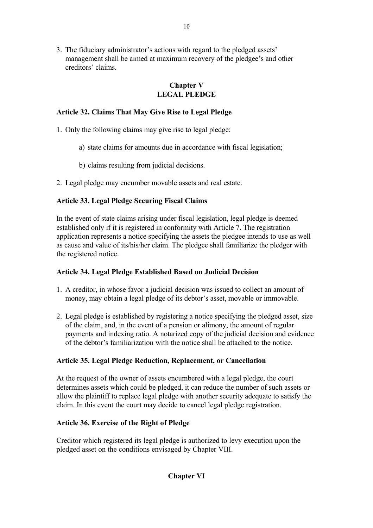3. The fiduciary administrator's actions with regard to the pledged assets' management shall be aimed at maximum recovery of the pledgee's and other creditors' claims.

# **Chapter V LEGAL PLEDGE**

# **Article 32. Claims That May Give Rise to Legal Pledge**

- 1. Only the following claims may give rise to legal pledge:
	- a) state claims for amounts due in accordance with fiscal legislation;
	- b) claims resulting from judicial decisions.
- 2. Legal pledge may encumber movable assets and real estate.

# **Article 33. Legal Pledge Securing Fiscal Claims**

In the event of state claims arising under fiscal legislation, legal pledge is deemed established only if it is registered in conformity with Article 7. The registration application represents a notice specifying the assets the pledgee intends to use as well as cause and value of its/his/her claim. The pledgee shall familiarize the pledger with the registered notice.

# **Article 34. Legal Pledge Established Based on Judicial Decision**

- 1. A creditor, in whose favor a judicial decision was issued to collect an amount of money, may obtain a legal pledge of its debtor's asset, movable or immovable.
- 2. Legal pledge is established by registering a notice specifying the pledged asset, size of the claim, and, in the event of a pension or alimony, the amount of regular payments and indexing ratio. A notarized copy of the judicial decision and evidence of the debtor's familiarization with the notice shall be attached to the notice.

# **Article 35. Legal Pledge Reduction, Replacement, or Cancellation**

At the request of the owner of assets encumbered with a legal pledge, the court determines assets which could be pledged, it can reduce the number of such assets or allow the plaintiff to replace legal pledge with another security adequate to satisfy the claim. In this event the court may decide to cancel legal pledge registration.

# **Article 36. Exercise of the Right of Pledge**

Creditor which registered its legal pledge is authorized to levy execution upon the pledged asset on the conditions envisaged by Chapter VIII.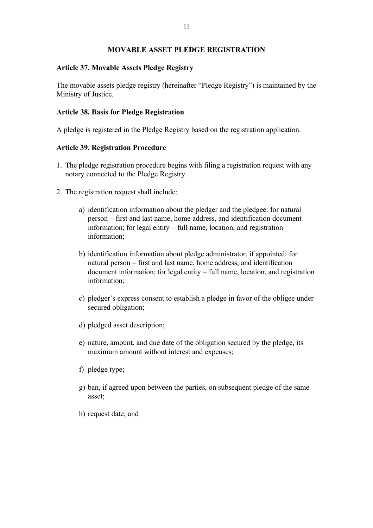## **MOVABLE ASSET PLEDGE REGISTRATION**

### **Article 37. Movable Assets Pledge Registry**

The movable assets pledge registry (hereinafter "Pledge Registry") is maintained by the Ministry of Justice.

## **Article 38. Basis for Pledge Registration**

A pledge is registered in the Pledge Registry based on the registration application.

## **Article 39. Registration Procedure**

- 1. The pledge registration procedure begins with filing a registration request with any notary connected to the Pledge Registry.
- 2. The registration request shall include:
	- a) identification information about the pledger and the pledgee: for natural person – first and last name, home address, and identification document information; for legal entity – full name, location, and registration information;
	- b) identification information about pledge administrator, if appointed: for natural person – first and last name, home address, and identification document information; for legal entity – full name, location, and registration information;
	- c) pledger's express consent to establish a pledge in favor of the obligee under secured obligation;
	- d) pledged asset description;
	- e) nature, amount, and due date of the obligation secured by the pledge, its maximum amount without interest and expenses;
	- f) pledge type;
	- g) ban, if agreed upon between the parties, on subsequent pledge of the same asset;
	- h) request date; and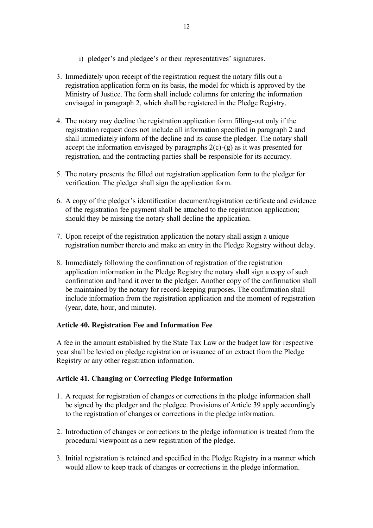- i) pledger's and pledgee's or their representatives' signatures.
- 3. Immediately upon receipt of the registration request the notary fills out a registration application form on its basis, the model for which is approved by the Ministry of Justice. The form shall include columns for entering the information envisaged in paragraph 2, which shall be registered in the Pledge Registry.
- 4. The notary may decline the registration application form filling-out only if the registration request does not include all information specified in paragraph 2 and shall immediately inform of the decline and its cause the pledger. The notary shall accept the information envisaged by paragraphs  $2(c)-(g)$  as it was presented for registration, and the contracting parties shall be responsible for its accuracy.
- 5. The notary presents the filled out registration application form to the pledger for verification. The pledger shall sign the application form.
- 6. A copy of the pledger's identification document/registration certificate and evidence of the registration fee payment shall be attached to the registration application; should they be missing the notary shall decline the application.
- 7. Upon receipt of the registration application the notary shall assign a unique registration number thereto and make an entry in the Pledge Registry without delay.
- 8. Immediately following the confirmation of registration of the registration application information in the Pledge Registry the notary shall sign a copy of such confirmation and hand it over to the pledger. Another copy of the confirmation shall be maintained by the notary for record-keeping purposes. The confirmation shall include information from the registration application and the moment of registration (year, date, hour, and minute).

# **Article 40. Registration Fee and Information Fee**

A fee in the amount established by the State Tax Law or the budget law for respective year shall be levied on pledge registration or issuance of an extract from the Pledge Registry or any other registration information.

# **Article 41. Changing or Correcting Pledge Information**

- 1. A request for registration of changes or corrections in the pledge information shall be signed by the pledger and the pledgee. Provisions of Article 39 apply accordingly to the registration of changes or corrections in the pledge information.
- 2. Introduction of changes or corrections to the pledge information is treated from the procedural viewpoint as a new registration of the pledge.
- 3. Initial registration is retained and specified in the Pledge Registry in a manner which would allow to keep track of changes or corrections in the pledge information.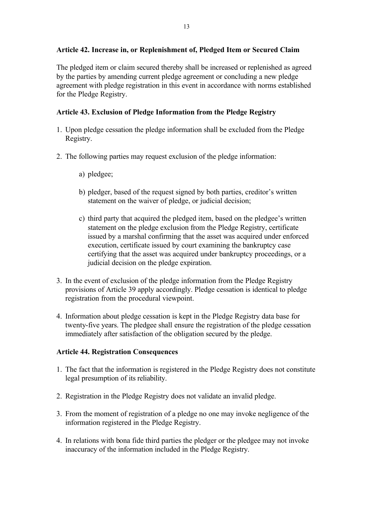# **Article 42. Increase in, or Replenishment of, Pledged Item or Secured Claim**

The pledged item or claim secured thereby shall be increased or replenished as agreed by the parties by amending current pledge agreement or concluding a new pledge agreement with pledge registration in this event in accordance with norms established for the Pledge Registry.

# **Article 43. Exclusion of Pledge Information from the Pledge Registry**

- 1. Upon pledge cessation the pledge information shall be excluded from the Pledge Registry.
- 2. The following parties may request exclusion of the pledge information:
	- a) pledgee;
	- b) pledger, based of the request signed by both parties, creditor's written statement on the waiver of pledge, or judicial decision;
	- c) third party that acquired the pledged item, based on the pledgee's written statement on the pledge exclusion from the Pledge Registry, certificate issued by a marshal confirming that the asset was acquired under enforced execution, certificate issued by court examining the bankruptcy case certifying that the asset was acquired under bankruptcy proceedings, or a judicial decision on the pledge expiration.
- 3. In the event of exclusion of the pledge information from the Pledge Registry provisions of Article 39 apply accordingly. Pledge cessation is identical to pledge registration from the procedural viewpoint.
- 4. Information about pledge cessation is kept in the Pledge Registry data base for twenty-five years. The pledgee shall ensure the registration of the pledge cessation immediately after satisfaction of the obligation secured by the pledge.

# **Article 44. Registration Consequences**

- 1. The fact that the information is registered in the Pledge Registry does not constitute legal presumption of its reliability.
- 2. Registration in the Pledge Registry does not validate an invalid pledge.
- 3. From the moment of registration of a pledge no one may invoke negligence of the information registered in the Pledge Registry.
- 4. In relations with bona fide third parties the pledger or the pledgee may not invoke inaccuracy of the information included in the Pledge Registry.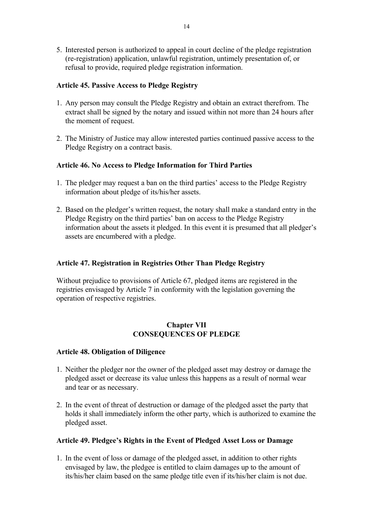5. Interested person is authorized to appeal in court decline of the pledge registration (re-registration) application, unlawful registration, untimely presentation of, or refusal to provide, required pledge registration information.

## **Article 45. Passive Access to Pledge Registry**

- 1. Any person may consult the Pledge Registry and obtain an extract therefrom. The extract shall be signed by the notary and issued within not more than 24 hours after the moment of request.
- 2. The Ministry of Justice may allow interested parties continued passive access to the Pledge Registry on a contract basis.

## **Article 46. No Access to Pledge Information for Third Parties**

- 1. The pledger may request a ban on the third parties' access to the Pledge Registry information about pledge of its/his/her assets.
- 2. Based on the pledger's written request, the notary shall make a standard entry in the Pledge Registry on the third parties' ban on access to the Pledge Registry information about the assets it pledged. In this event it is presumed that all pledger's assets are encumbered with a pledge.

# **Article 47. Registration in Registries Other Than Pledge Registry**

Without prejudice to provisions of Article 67, pledged items are registered in the registries envisaged by Article 7 in conformity with the legislation governing the operation of respective registries.

## **Chapter VII CONSEQUENCES OF PLEDGE**

### **Article 48. Obligation of Diligence**

- 1. Neither the pledger nor the owner of the pledged asset may destroy or damage the pledged asset or decrease its value unless this happens as a result of normal wear and tear or as necessary.
- 2. In the event of threat of destruction or damage of the pledged asset the party that holds it shall immediately inform the other party, which is authorized to examine the pledged asset.

### **Article 49. Pledgee's Rights in the Event of Pledged Asset Loss or Damage**

1. In the event of loss or damage of the pledged asset, in addition to other rights envisaged by law, the pledgee is entitled to claim damages up to the amount of its/his/her claim based on the same pledge title even if its/his/her claim is not due.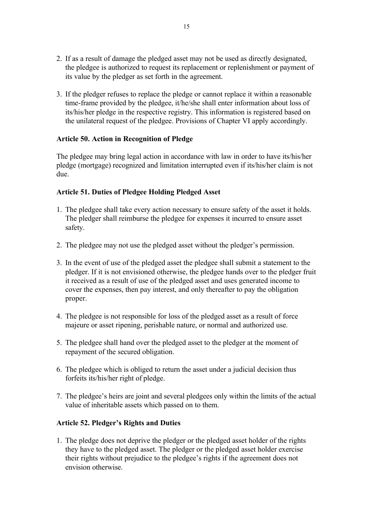- 2. If as a result of damage the pledged asset may not be used as directly designated, the pledgee is authorized to request its replacement or replenishment or payment of its value by the pledger as set forth in the agreement.
- 3. If the pledger refuses to replace the pledge or cannot replace it within a reasonable time-frame provided by the pledgee, it/he/she shall enter information about loss of its/his/her pledge in the respective registry. This information is registered based on the unilateral request of the pledgee. Provisions of Chapter VI apply accordingly.

## **Article 50. Action in Recognition of Pledge**

The pledgee may bring legal action in accordance with law in order to have its/his/her pledge (mortgage) recognized and limitation interrupted even if its/his/her claim is not due.

## **Article 51. Duties of Pledgee Holding Pledged Asset**

- 1. The pledgee shall take every action necessary to ensure safety of the asset it holds. The pledger shall reimburse the pledgee for expenses it incurred to ensure asset safety.
- 2. The pledgee may not use the pledged asset without the pledger's permission.
- 3. In the event of use of the pledged asset the pledgee shall submit a statement to the pledger. If it is not envisioned otherwise, the pledgee hands over to the pledger fruit it received as a result of use of the pledged asset and uses generated income to cover the expenses, then pay interest, and only thereafter to pay the obligation proper.
- 4. The pledgee is not responsible for loss of the pledged asset as a result of force majeure or asset ripening, perishable nature, or normal and authorized use.
- 5. The pledgee shall hand over the pledged asset to the pledger at the moment of repayment of the secured obligation.
- 6. The pledgee which is obliged to return the asset under a judicial decision thus forfeits its/his/her right of pledge.
- 7. The pledgee's heirs are joint and several pledgees only within the limits of the actual value of inheritable assets which passed on to them.

# **Article 52. Pledger's Rights and Duties**

1. The pledge does not deprive the pledger or the pledged asset holder of the rights they have to the pledged asset. The pledger or the pledged asset holder exercise their rights without prejudice to the pledgee's rights if the agreement does not envision otherwise.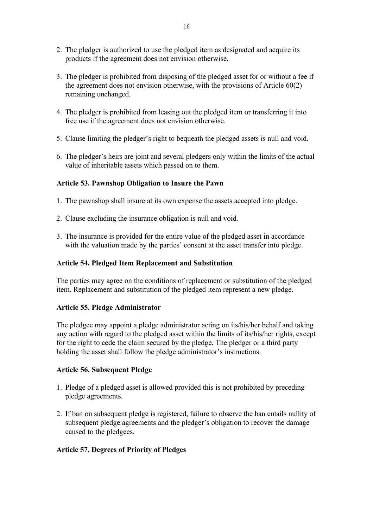- 2. The pledger is authorized to use the pledged item as designated and acquire its products if the agreement does not envision otherwise.
- 3. The pledger is prohibited from disposing of the pledged asset for or without a fee if the agreement does not envision otherwise, with the provisions of Article 60(2) remaining unchanged.
- 4. The pledger is prohibited from leasing out the pledged item or transferring it into free use if the agreement does not envision otherwise.
- 5. Clause limiting the pledger's right to bequeath the pledged assets is null and void.
- 6. The pledger's heirs are joint and several pledgers only within the limits of the actual value of inheritable assets which passed on to them.

## **Article 53. Pawnshop Obligation to Insure the Pawn**

- 1. The pawnshop shall insure at its own expense the assets accepted into pledge.
- 2. Clause excluding the insurance obligation is null and void.
- 3. The insurance is provided for the entire value of the pledged asset in accordance with the valuation made by the parties' consent at the asset transfer into pledge.

### **Article 54. Pledged Item Replacement and Substitution**

The parties may agree on the conditions of replacement or substitution of the pledged item. Replacement and substitution of the pledged item represent a new pledge.

# **Article 55. Pledge Administrator**

The pledgee may appoint a pledge administrator acting on its/his/her behalf and taking any action with regard to the pledged asset within the limits of its/his/her rights, except for the right to cede the claim secured by the pledge. The pledger or a third party holding the asset shall follow the pledge administrator's instructions.

### **Article 56. Subsequent Pledge**

- 1. Pledge of a pledged asset is allowed provided this is not prohibited by preceding pledge agreements.
- 2. If ban on subsequent pledge is registered, failure to observe the ban entails nullity of subsequent pledge agreements and the pledger's obligation to recover the damage caused to the pledgees.

### **Article 57. Degrees of Priority of Pledges**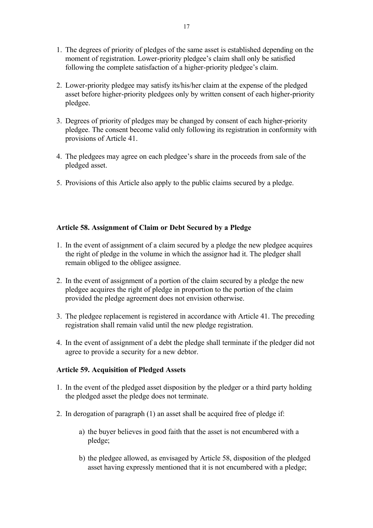- 1. The degrees of priority of pledges of the same asset is established depending on the moment of registration. Lower-priority pledgee's claim shall only be satisfied following the complete satisfaction of a higher-priority pledgee's claim.
- 2. Lower-priority pledgee may satisfy its/his/her claim at the expense of the pledged asset before higher-priority pledgees only by written consent of each higher-priority pledgee.
- 3. Degrees of priority of pledges may be changed by consent of each higher-priority pledgee. The consent become valid only following its registration in conformity with provisions of Article 41.
- 4. The pledgees may agree on each pledgee's share in the proceeds from sale of the pledged asset.
- 5. Provisions of this Article also apply to the public claims secured by a pledge.

# **Article 58. Assignment of Claim or Debt Secured by a Pledge**

- 1. In the event of assignment of a claim secured by a pledge the new pledgee acquires the right of pledge in the volume in which the assignor had it. The pledger shall remain obliged to the obligee assignee.
- 2. In the event of assignment of a portion of the claim secured by a pledge the new pledgee acquires the right of pledge in proportion to the portion of the claim provided the pledge agreement does not envision otherwise.
- 3. The pledgee replacement is registered in accordance with Article 41. The preceding registration shall remain valid until the new pledge registration.
- 4. In the event of assignment of a debt the pledge shall terminate if the pledger did not agree to provide a security for a new debtor.

# **Article 59. Acquisition of Pledged Assets**

- 1. In the event of the pledged asset disposition by the pledger or a third party holding the pledged asset the pledge does not terminate.
- 2. In derogation of paragraph (1) an asset shall be acquired free of pledge if:
	- a) the buyer believes in good faith that the asset is not encumbered with a pledge;
	- b) the pledgee allowed, as envisaged by Article 58, disposition of the pledged asset having expressly mentioned that it is not encumbered with a pledge;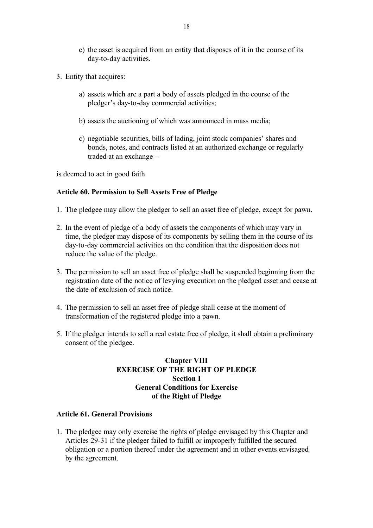- c) the asset is acquired from an entity that disposes of it in the course of its day-to-day activities.
- 3. Entity that acquires:
	- a) assets which are a part a body of assets pledged in the course of the pledger's day-to-day commercial activities;
	- b) assets the auctioning of which was announced in mass media;
	- c) negotiable securities, bills of lading, joint stock companies' shares and bonds, notes, and contracts listed at an authorized exchange or regularly traded at an exchange –

is deemed to act in good faith.

### **Article 60. Permission to Sell Assets Free of Pledge**

- 1. The pledgee may allow the pledger to sell an asset free of pledge, except for pawn.
- 2. In the event of pledge of a body of assets the components of which may vary in time, the pledger may dispose of its components by selling them in the course of its day-to-day commercial activities on the condition that the disposition does not reduce the value of the pledge.
- 3. The permission to sell an asset free of pledge shall be suspended beginning from the registration date of the notice of levying execution on the pledged asset and cease at the date of exclusion of such notice.
- 4. The permission to sell an asset free of pledge shall cease at the moment of transformation of the registered pledge into a pawn.
- 5. If the pledger intends to sell a real estate free of pledge, it shall obtain a preliminary consent of the pledgee.

# **Chapter VIII EXERCISE OF THE RIGHT OF PLEDGE Section I General Conditions for Exercise of the Right of Pledge**

### **Article 61. General Provisions**

1. The pledgee may only exercise the rights of pledge envisaged by this Chapter and Articles 29-31 if the pledger failed to fulfill or improperly fulfilled the secured obligation or a portion thereof under the agreement and in other events envisaged by the agreement.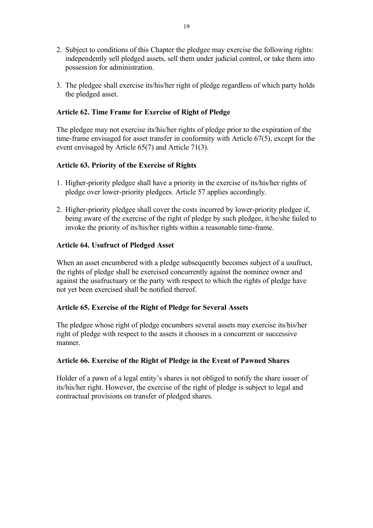- 2. Subject to conditions of this Chapter the pledgee may exercise the following rights: independently sell pledged assets, sell them under judicial control, or take them into possession for administration.
- 3. The pledgee shall exercise its/his/her right of pledge regardless of which party holds the pledged asset.

## **Article 62. Time Frame for Exercise of Right of Pledge**

The pledgee may not exercise its/his/her rights of pledge prior to the expiration of the time-frame envisaged for asset transfer in conformity with Article 67(5), except for the event envisaged by Article 65(7) and Article 71(3).

## **Article 63. Priority of the Exercise of Rights**

- 1. Higher-priority pledgee shall have a priority in the exercise of its/his/her rights of pledge over lower-priority pledgees. Article 57 applies accordingly.
- 2. Higher-priority pledgee shall cover the costs incurred by lower-priority pledgee if, being aware of the exercise of the right of pledge by such pledgee, it/he/she failed to invoke the priority of its/his/her rights within a reasonable time-frame.

## **Article 64. Usufruct of Pledged Asset**

When an asset encumbered with a pledge subsequently becomes subject of a usufruct, the rights of pledge shall be exercised concurrently against the nominee owner and against the usufructuary or the party with respect to which the rights of pledge have not yet been exercised shall be notified thereof.

### **Article 65. Exercise of the Right of Pledge for Several Assets**

The pledgee whose right of pledge encumbers several assets may exercise its/his/her right of pledge with respect to the assets it chooses in a concurrent or successive manner.

### **Article 66. Exercise of the Right of Pledge in the Event of Pawned Shares**

Holder of a pawn of a legal entity's shares is not obliged to notify the share issuer of its/his/her right. However, the exercise of the right of pledge is subject to legal and contractual provisions on transfer of pledged shares.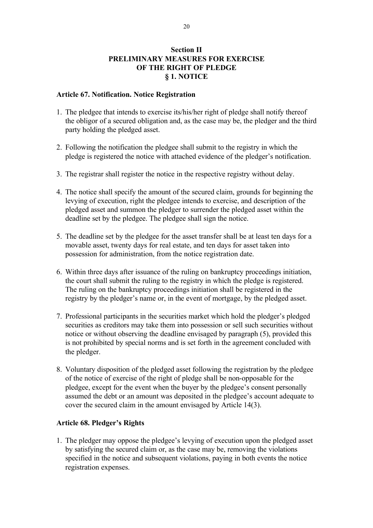# **Section II PRELIMINARY MEASURES FOR EXERCISE OF THE RIGHT OF PLEDGE § 1. NOTICE**

#### **Article 67. Notification. Notice Registration**

- 1. The pledgee that intends to exercise its/his/her right of pledge shall notify thereof the obligor of a secured obligation and, as the case may be, the pledger and the third party holding the pledged asset.
- 2. Following the notification the pledgee shall submit to the registry in which the pledge is registered the notice with attached evidence of the pledger's notification.
- 3. The registrar shall register the notice in the respective registry without delay.
- 4. The notice shall specify the amount of the secured claim, grounds for beginning the levying of execution, right the pledgee intends to exercise, and description of the pledged asset and summon the pledger to surrender the pledged asset within the deadline set by the pledgee. The pledgee shall sign the notice.
- 5. The deadline set by the pledgee for the asset transfer shall be at least ten days for a movable asset, twenty days for real estate, and ten days for asset taken into possession for administration, from the notice registration date.
- 6. Within three days after issuance of the ruling on bankruptcy proceedings initiation, the court shall submit the ruling to the registry in which the pledge is registered. The ruling on the bankruptcy proceedings initiation shall be registered in the registry by the pledger's name or, in the event of mortgage, by the pledged asset.
- 7. Professional participants in the securities market which hold the pledger's pledged securities as creditors may take them into possession or sell such securities without notice or without observing the deadline envisaged by paragraph (5), provided this is not prohibited by special norms and is set forth in the agreement concluded with the pledger.
- 8. Voluntary disposition of the pledged asset following the registration by the pledgee of the notice of exercise of the right of pledge shall be non-opposable for the pledgee, except for the event when the buyer by the pledgee's consent personally assumed the debt or an amount was deposited in the pledgee's account adequate to cover the secured claim in the amount envisaged by Article 14(3).

### **Article 68. Pledger's Rights**

1. The pledger may oppose the pledgee's levying of execution upon the pledged asset by satisfying the secured claim or, as the case may be, removing the violations specified in the notice and subsequent violations, paying in both events the notice registration expenses.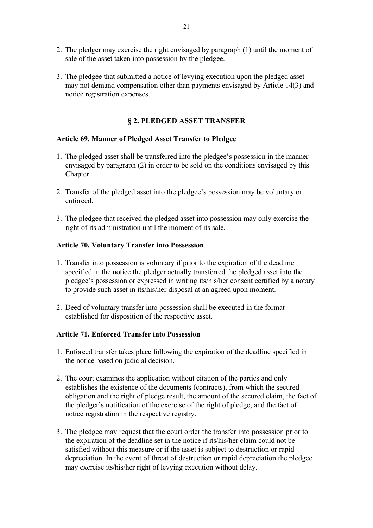- 2. The pledger may exercise the right envisaged by paragraph (1) until the moment of sale of the asset taken into possession by the pledgee.
- 3. The pledgee that submitted a notice of levying execution upon the pledged asset may not demand compensation other than payments envisaged by Article 14(3) and notice registration expenses.

# **§ 2. PLEDGED ASSET TRANSFER**

## **Article 69. Manner of Pledged Asset Transfer to Pledgee**

- 1. The pledged asset shall be transferred into the pledgee's possession in the manner envisaged by paragraph (2) in order to be sold on the conditions envisaged by this Chapter.
- 2. Transfer of the pledged asset into the pledgee's possession may be voluntary or enforced.
- 3. The pledgee that received the pledged asset into possession may only exercise the right of its administration until the moment of its sale.

## **Article 70. Voluntary Transfer into Possession**

- 1. Transfer into possession is voluntary if prior to the expiration of the deadline specified in the notice the pledger actually transferred the pledged asset into the pledgee's possession or expressed in writing its/his/her consent certified by a notary to provide such asset in its/his/her disposal at an agreed upon moment.
- 2. Deed of voluntary transfer into possession shall be executed in the format established for disposition of the respective asset.

# **Article 71. Enforced Transfer into Possession**

- 1. Enforced transfer takes place following the expiration of the deadline specified in the notice based on judicial decision.
- 2. The court examines the application without citation of the parties and only establishes the existence of the documents (contracts), from which the secured obligation and the right of pledge result, the amount of the secured claim, the fact of the pledger's notification of the exercise of the right of pledge, and the fact of notice registration in the respective registry.
- 3. The pledgee may request that the court order the transfer into possession prior to the expiration of the deadline set in the notice if its/his/her claim could not be satisfied without this measure or if the asset is subject to destruction or rapid depreciation. In the event of threat of destruction or rapid depreciation the pledgee may exercise its/his/her right of levying execution without delay.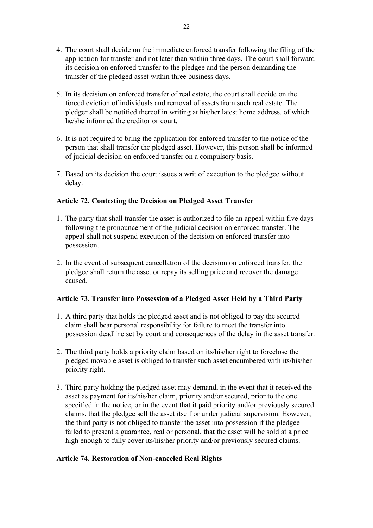- 4. The court shall decide on the immediate enforced transfer following the filing of the application for transfer and not later than within three days. The court shall forward its decision on enforced transfer to the pledgee and the person demanding the transfer of the pledged asset within three business days.
- 5. In its decision on enforced transfer of real estate, the court shall decide on the forced eviction of individuals and removal of assets from such real estate. The pledger shall be notified thereof in writing at his/her latest home address, of which he/she informed the creditor or court.
- 6. It is not required to bring the application for enforced transfer to the notice of the person that shall transfer the pledged asset. However, this person shall be informed of judicial decision on enforced transfer on a compulsory basis.
- 7. Based on its decision the court issues a writ of execution to the pledgee without delay.

## **Article 72. Contesting the Decision on Pledged Asset Transfer**

- 1. The party that shall transfer the asset is authorized to file an appeal within five days following the pronouncement of the judicial decision on enforced transfer. The appeal shall not suspend execution of the decision on enforced transfer into possession.
- 2. In the event of subsequent cancellation of the decision on enforced transfer, the pledgee shall return the asset or repay its selling price and recover the damage caused.

# **Article 73. Transfer into Possession of a Pledged Asset Held by a Third Party**

- 1. A third party that holds the pledged asset and is not obliged to pay the secured claim shall bear personal responsibility for failure to meet the transfer into possession deadline set by court and consequences of the delay in the asset transfer.
- 2. The third party holds a priority claim based on its/his/her right to foreclose the pledged movable asset is obliged to transfer such asset encumbered with its/his/her priority right.
- 3. Third party holding the pledged asset may demand, in the event that it received the asset as payment for its/his/her claim, priority and/or secured, prior to the one specified in the notice, or in the event that it paid priority and/or previously secured claims, that the pledgee sell the asset itself or under judicial supervision. However, the third party is not obliged to transfer the asset into possession if the pledgee failed to present a guarantee, real or personal, that the asset will be sold at a price high enough to fully cover its/his/her priority and/or previously secured claims.

### **Article 74. Restoration of Non-canceled Real Rights**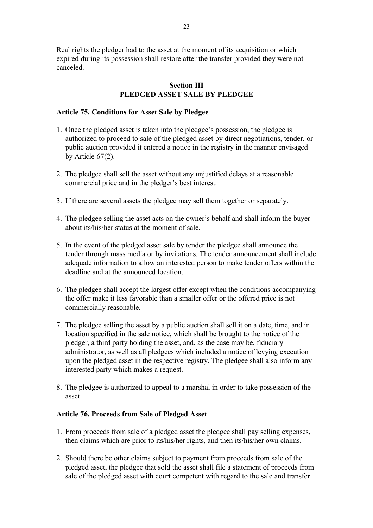Real rights the pledger had to the asset at the moment of its acquisition or which expired during its possession shall restore after the transfer provided they were not canceled.

### **Section III PLEDGED ASSET SALE BY PLEDGEE**

#### **Article 75. Conditions for Asset Sale by Pledgee**

- 1. Once the pledged asset is taken into the pledgee's possession, the pledgee is authorized to proceed to sale of the pledged asset by direct negotiations, tender, or public auction provided it entered a notice in the registry in the manner envisaged by Article 67(2).
- 2. The pledgee shall sell the asset without any unjustified delays at a reasonable commercial price and in the pledger's best interest.
- 3. If there are several assets the pledgee may sell them together or separately.
- 4. The pledgee selling the asset acts on the owner's behalf and shall inform the buyer about its/his/her status at the moment of sale.
- 5. In the event of the pledged asset sale by tender the pledgee shall announce the tender through mass media or by invitations. The tender announcement shall include adequate information to allow an interested person to make tender offers within the deadline and at the announced location.
- 6. The pledgee shall accept the largest offer except when the conditions accompanying the offer make it less favorable than a smaller offer or the offered price is not commercially reasonable.
- 7. The pledgee selling the asset by a public auction shall sell it on a date, time, and in location specified in the sale notice, which shall be brought to the notice of the pledger, a third party holding the asset, and, as the case may be, fiduciary administrator, as well as all pledgees which included a notice of levying execution upon the pledged asset in the respective registry. The pledgee shall also inform any interested party which makes a request.
- 8. The pledgee is authorized to appeal to a marshal in order to take possession of the asset.

#### **Article 76. Proceeds from Sale of Pledged Asset**

- 1. From proceeds from sale of a pledged asset the pledgee shall pay selling expenses, then claims which are prior to its/his/her rights, and then its/his/her own claims.
- 2. Should there be other claims subject to payment from proceeds from sale of the pledged asset, the pledgee that sold the asset shall file a statement of proceeds from sale of the pledged asset with court competent with regard to the sale and transfer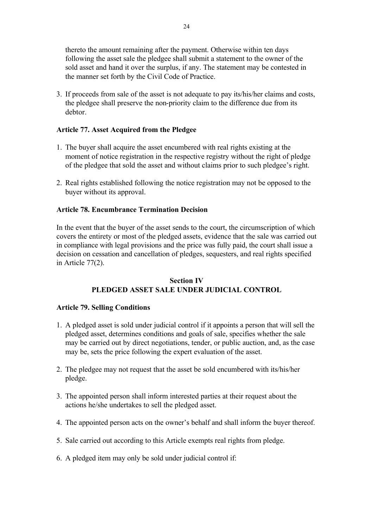thereto the amount remaining after the payment. Otherwise within ten days following the asset sale the pledgee shall submit a statement to the owner of the sold asset and hand it over the surplus, if any. The statement may be contested in the manner set forth by the Civil Code of Practice.

3. If proceeds from sale of the asset is not adequate to pay its/his/her claims and costs, the pledgee shall preserve the non-priority claim to the difference due from its debtor.

#### **Article 77. Asset Acquired from the Pledgee**

- 1. The buyer shall acquire the asset encumbered with real rights existing at the moment of notice registration in the respective registry without the right of pledge of the pledgee that sold the asset and without claims prior to such pledgee's right.
- 2. Real rights established following the notice registration may not be opposed to the buyer without its approval.

#### **Article 78. Encumbrance Termination Decision**

In the event that the buyer of the asset sends to the court, the circumscription of which covers the entirety or most of the pledged assets, evidence that the sale was carried out in compliance with legal provisions and the price was fully paid, the court shall issue a decision on cessation and cancellation of pledges, sequesters, and real rights specified in Article 77(2).

#### **Section IV PLEDGED ASSET SALE UNDER JUDICIAL CONTROL**

#### **Article 79. Selling Conditions**

- 1. A pledged asset is sold under judicial control if it appoints a person that will sell the pledged asset, determines conditions and goals of sale, specifies whether the sale may be carried out by direct negotiations, tender, or public auction, and, as the case may be, sets the price following the expert evaluation of the asset.
- 2. The pledgee may not request that the asset be sold encumbered with its/his/her pledge.
- 3. The appointed person shall inform interested parties at their request about the actions he/she undertakes to sell the pledged asset.
- 4. The appointed person acts on the owner's behalf and shall inform the buyer thereof.
- 5. Sale carried out according to this Article exempts real rights from pledge.
- 6. A pledged item may only be sold under judicial control if: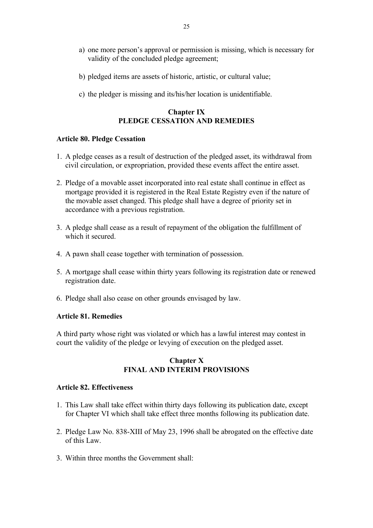- a) one more person's approval or permission is missing, which is necessary for validity of the concluded pledge agreement;
- b) pledged items are assets of historic, artistic, or cultural value;
- c) the pledger is missing and its/his/her location is unidentifiable.

# **Chapter IX PLEDGE CESSATION AND REMEDIES**

### **Article 80. Pledge Cessation**

- 1. A pledge ceases as a result of destruction of the pledged asset, its withdrawal from civil circulation, or expropriation, provided these events affect the entire asset.
- 2. Pledge of a movable asset incorporated into real estate shall continue in effect as mortgage provided it is registered in the Real Estate Registry even if the nature of the movable asset changed. This pledge shall have a degree of priority set in accordance with a previous registration.
- 3. A pledge shall cease as a result of repayment of the obligation the fulfillment of which it secured.
- 4. A pawn shall cease together with termination of possession.
- 5. A mortgage shall cease within thirty years following its registration date or renewed registration date.
- 6. Pledge shall also cease on other grounds envisaged by law.

### **Article 81. Remedies**

A third party whose right was violated or which has a lawful interest may contest in court the validity of the pledge or levying of execution on the pledged asset.

### **Chapter X FINAL AND INTERIM PROVISIONS**

#### **Article 82. Effectiveness**

- 1. This Law shall take effect within thirty days following its publication date, except for Chapter VI which shall take effect three months following its publication date.
- 2. Pledge Law No. 838-XIII of May 23, 1996 shall be abrogated on the effective date of this Law.
- 3. Within three months the Government shall: